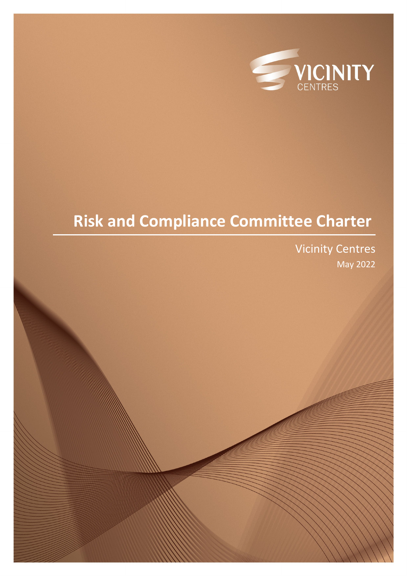

# **Risk and Compliance Committee Charter**

Vicinity Centres May 2022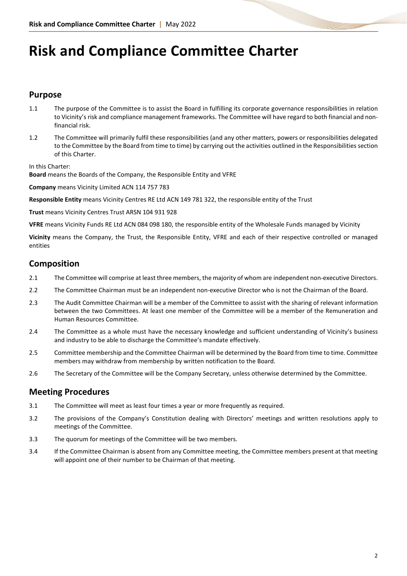# **Risk and Compliance Committee Charter**

#### **Purpose**

- 1.1 The purpose of the Committee is to assist the Board in fulfilling its corporate governance responsibilities in relation to Vicinity's risk and compliance management frameworks. The Committee will have regard to both financial and nonfinancial risk.
- 1.2 The Committee will primarily fulfil these responsibilities (and any other matters, powers or responsibilities delegated to the Committee by the Board from time to time) by carrying out the activities outlined in the Responsibilities section of this Charter.

In this Charter:

**Board** means the Boards of the Company, the Responsible Entity and VFRE

**Company** means Vicinity Limited ACN 114 757 783

**Responsible Entity** means Vicinity Centres RE Ltd ACN 149 781 322, the responsible entity of the Trust

**Trust** means Vicinity Centres Trust ARSN 104 931 928

**VFRE** means Vicinity Funds RE Ltd ACN 084 098 180, the responsible entity of the Wholesale Funds managed by Vicinity

**Vicinity** means the Company, the Trust, the Responsible Entity, VFRE and each of their respective controlled or managed entities

## **Composition**

- 2.1 The Committee will comprise at least three members, the majority of whom are independent non-executive Directors.
- 2.2 The Committee Chairman must be an independent non-executive Director who is not the Chairman of the Board.
- 2.3 The Audit Committee Chairman will be a member of the Committee to assist with the sharing of relevant information between the two Committees. At least one member of the Committee will be a member of the Remuneration and Human Resources Committee.
- 2.4 The Committee as a whole must have the necessary knowledge and sufficient understanding of Vicinity's business and industry to be able to discharge the Committee's mandate effectively.
- 2.5 Committee membership and the Committee Chairman will be determined by the Board from time to time. Committee members may withdraw from membership by written notification to the Board.
- 2.6 The Secretary of the Committee will be the Company Secretary, unless otherwise determined by the Committee.

#### **Meeting Procedures**

- 3.1 The Committee will meet as least four times a year or more frequently as required.
- 3.2 The provisions of the Company's Constitution dealing with Directors' meetings and written resolutions apply to meetings of the Committee.
- 3.3 The quorum for meetings of the Committee will be two members.
- 3.4 If the Committee Chairman is absent from any Committee meeting, the Committee members present at that meeting will appoint one of their number to be Chairman of that meeting.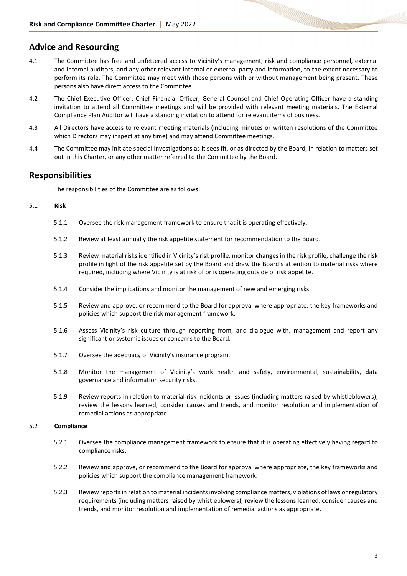#### **Advice and Resourcing**

- 4.1 The Committee has free and unfettered access to Vicinity's management, risk and compliance personnel, external and internal auditors, and any other relevant internal or external party and information, to the extent necessary to perform its role. The Committee may meet with those persons with or without management being present. These persons also have direct access to the Committee.
- 4.2 The Chief Executive Officer, Chief Financial Officer, General Counsel and Chief Operating Officer have a standing invitation to attend all Committee meetings and will be provided with relevant meeting materials. The External Compliance Plan Auditor will have a standing invitation to attend for relevant items of business.
- 4.3 All Directors have access to relevant meeting materials (including minutes or written resolutions of the Committee which Directors may inspect at any time) and may attend Committee meetings.
- 4.4 The Committee may initiate special investigations as it sees fit, or as directed by the Board, in relation to matters set out in this Charter, or any other matter referred to the Committee by the Board.

#### **Responsibilities**

The responsibilities of the Committee are as follows:

#### 5.1 **Risk**

- 5.1.1 Oversee the risk management framework to ensure that it is operating effectively.
- 5.1.2 Review at least annually the risk appetite statement for recommendation to the Board.
- 5.1.3 Review material risks identified in Vicinity's risk profile, monitor changes in the risk profile, challenge the risk profile in light of the risk appetite set by the Board and draw the Board's attention to material risks where required, including where Vicinity is at risk of or is operating outside of risk appetite.
- 5.1.4 Consider the implications and monitor the management of new and emerging risks.
- 5.1.5 Review and approve, or recommend to the Board for approval where appropriate, the key frameworks and policies which support the risk management framework.
- 5.1.6 Assess Vicinity's risk culture through reporting from, and dialogue with, management and report any significant or systemic issues or concerns to the Board.
- 5.1.7 Oversee the adequacy of Vicinity's insurance program.
- 5.1.8 Monitor the management of Vicinity's work health and safety, environmental, sustainability, data governance and information security risks.
- 5.1.9 Review reports in relation to material risk incidents or issues (including matters raised by whistleblowers), review the lessons learned, consider causes and trends, and monitor resolution and implementation of remedial actions as appropriate.

#### 5.2 **Compliance**

- 5.2.1 Oversee the compliance management framework to ensure that it is operating effectively having regard to compliance risks.
- 5.2.2 Review and approve, or recommend to the Board for approval where appropriate, the key frameworks and policies which support the compliance management framework.
- 5.2.3 Review reports in relation to material incidents involving compliance matters, violations of laws or regulatory requirements (including matters raised by whistleblowers), review the lessons learned, consider causes and trends, and monitor resolution and implementation of remedial actions as appropriate.